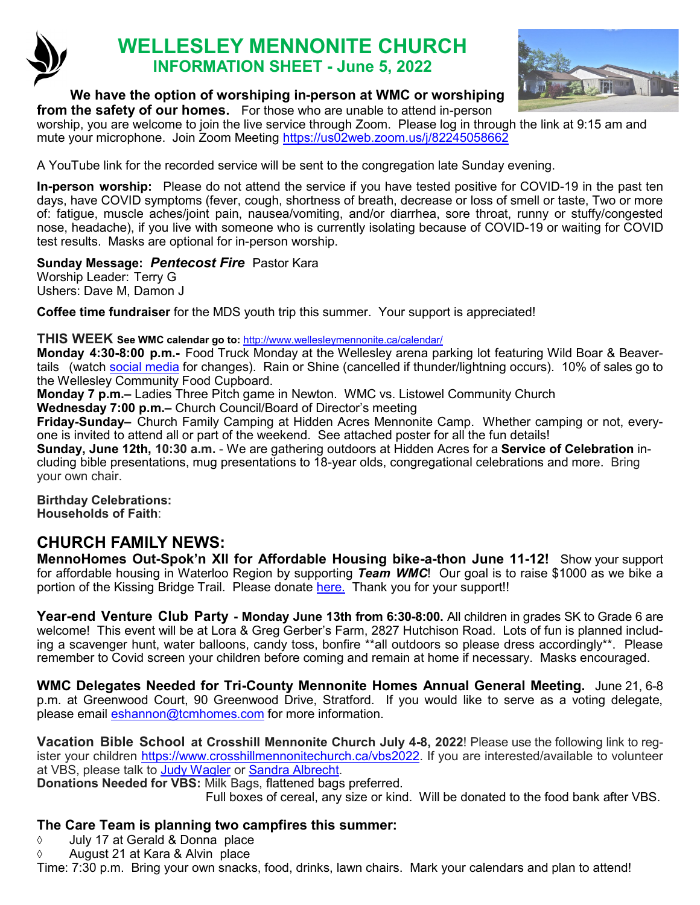

# **WELLESLEY MENNONITE CHURCH INFORMATION SHEET - June 5, 2022**



### **We have the option of worshiping in-person at WMC or worshiping**

**from the safety of our homes.** For those who are unable to attend in-person worship, you are welcome to join the live service through Zoom. Please log in through the link at 9:15 am and mute your microphone. Join Zoom Meeting <https://us02web.zoom.us/j/82245058662>

A YouTube link for the recorded service will be sent to the congregation late Sunday evening.

**In-person worship:** Please do not attend the service if you have tested positive for COVID-19 in the past ten days, have COVID symptoms (fever, cough, shortness of breath, decrease or loss of smell or taste, Two or more of: fatigue, muscle aches/joint pain, nausea/vomiting, and/or diarrhea, sore throat, runny or stuffy/congested nose, headache), if you live with someone who is currently isolating because of COVID-19 or waiting for COVID test results. Masks are optional for in-person worship.

**Sunday Message:** *Pentecost Fire* Pastor Kara Worship Leader: Terry G

Ushers: Dave M, Damon J

**Coffee time fundraiser** for the MDS youth trip this summer. Your support is appreciated!

### **THIS WEEK See WMC calendar go to:** <http://www.wellesleymennonite.ca/calendar/>

**Monday 4:30-8:00 p.m.-** Food Truck Monday at the Wellesley arena parking lot featuring Wild Boar & Beavertails (watch [social media](https://www.instagram.com/stmarkswellesley/) for changes). Rain or Shine (cancelled if thunder/lightning occurs). 10% of sales go to the Wellesley Community Food Cupboard.

**Monday 7 p.m.–** Ladies Three Pitch game in Newton. WMC vs. Listowel Community Church **Wednesday 7:00 p.m.–** Church Council/Board of Director's meeting

**Friday-Sunday–** Church Family Camping at Hidden Acres Mennonite Camp. Whether camping or not, everyone is invited to attend all or part of the weekend. See attached poster for all the fun details!

**Sunday, June 12th, 10:30 a.m.** - We are gathering outdoors at Hidden Acres for a **Service of Celebration** including bible presentations, mug presentations to 18-year olds, congregational celebrations and more. Bring your own chair.

**Birthday Celebrations: Households of Faith**:

# **CHURCH FAMILY NEWS:**

**MennoHomes Out-Spok'[n XII for Affordable Housing bike](https://t.e2ma.net/click/r0dmhh/np2qvh/nt1ktt)-a-thon June 11-12!** Show your support for affordable housing in Waterloo Region by supporting *Team WMC*! Our goal is to raise \$1000 as we bike a portion of the Kissing Bridge Trail. Please donate [here.](https://www.canadahelps.org/s/npbETN) Thank you for your support!!

**Year-end Venture Club Party - Monday June 13th from 6:30-8:00.** All children in grades SK to Grade 6 are welcome! This event will be at Lora & Greg Gerber's Farm, 2827 Hutchison Road. Lots of fun is planned including a scavenger hunt, water balloons, candy toss, bonfire \*\*all outdoors so please dress accordingly\*\*. Please remember to Covid screen your children before coming and remain at home if necessary. Masks encouraged.

**WMC Delegates Needed for Tri-County Mennonite Homes Annual General Meeting.** June 21, 6-8 p.m. at Greenwood Court, 90 Greenwood Drive, Stratford. If you would like to serve as a voting delegate, please email [eshannon@tcmhomes.com](mailto:eshannon@tcmhomes.com) for more information.

**Vacation Bible School at Crosshill Mennonite Church July 4-8, 2022**! Please use the following link to register your children [https://www.crosshillmennonitechurch.ca/vbs2022.](https://www.crosshillmennonitechurch.ca/vbs2022) If you are interested/available to volunteer at VBS, please talk to [Judy Wagler](mailto:cjwagler@gmail.com) or [Sandra Albrecht.](mailto:soalbrecht69@gmail.com) 

**Donations Needed for VBS:** Milk Bags, flattened bags preferred.

Full boxes of cereal, any size or kind. Will be donated to the food bank after VBS.

## **The Care Team is planning two campfires this summer:**

- July 17 at Gerald & Donna place
- August 21 at Kara & Alvin place

Time: 7:30 p.m. Bring your own snacks, food, drinks, lawn chairs. Mark your calendars and plan to attend!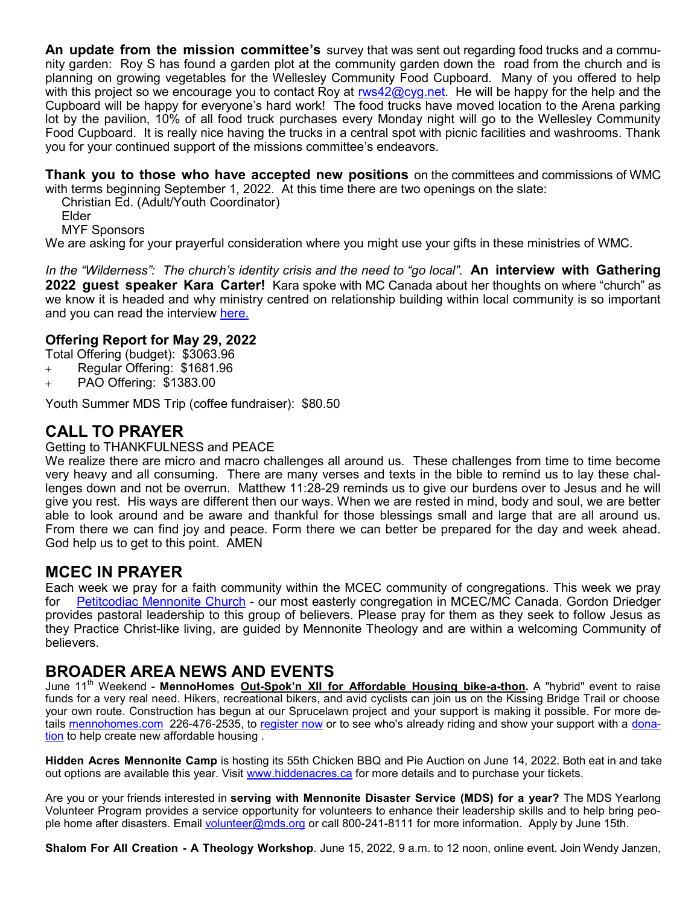**An update from the mission committee's** survey that was sent out regarding food trucks and a community garden: Roy S has found a garden plot at the community garden down the road from the church and is planning on growing vegetables for the Wellesley Community Food Cupboard. Many of you offered to help with this project so we encourage you to contact Roy at  $rws42@cyg.net$ . He will be happy for the help and the Cupboard will be happy for everyone's hard work! The food trucks have moved location to the Arena parking lot by the pavilion, 10% of all food truck purchases every Monday night will go to the Wellesley Community Food Cupboard. It is really nice having the trucks in a central spot with picnic facilities and washrooms. Thank you for your continued support of the missions committee's endeavors.

**Thank you to those who have accepted new positions** on the committees and commissions of WMC with terms beginning September 1, 2022. At this time there are two openings on the slate:

Christian Ed. (Adult/Youth Coordinator)

Elder

MYF Sponsors

We are asking for your prayerful consideration where you might use your gifts in these ministries of WMC.

*In the "Wilderness": The church's identity crisis and the need to "go local".* **An interview with Gathering 2022 guest speaker Kara Carter!** Kara spoke with MC Canada about her thoughts on where "church" as we know it is headed and why ministry centred on relationship building within local community is so important and you can read the interview [here.](https://www.mennonitechurch.ca/article/13434-in-the-wilderness-the-churchs-identity-crisis-and-the-need-to-go-local)

### **Offering Report for May 29, 2022**

- Total Offering (budget): \$3063.96
- + Regular Offering: \$1681.96
- + PAO Offering: \$1383.00

Youth Summer MDS Trip (coffee fundraiser): \$80.50

# **CALL TO PRAYER**

#### Getting to THANKFULNESS and PEACE

We realize there are micro and macro challenges all around us. These challenges from time to time become very heavy and all consuming. There are many verses and texts in the bible to remind us to lay these challenges down and not be overrun. Matthew 11:28-29 reminds us to give our burdens over to Jesus and he will give you rest. His ways are different then our ways. When we are rested in mind, body and soul, we are better able to look around and be aware and thankful for those blessings small and large that are all around us. From there we can find joy and peace. Form there we can better be prepared for the day and week ahead. God help us to get to this point. AMEN

## **MCEC IN PRAYER**

Each week we pray for a faith community within the MCEC community of congregations. This week we pray for [Petitcodiac Mennonite Church](https://petitcodiacmennonitechurch.org/) - our most easterly congregation in MCEC/MC Canada. Gordon Driedger provides pastoral leadership to this group of believers. Please pray for them as they seek to follow Jesus as they Practice Christ-like living, are guided by Mennonite Theology and are within a welcoming Community of believers.

# **BROADER AREA NEWS AND EVENTS**

June 11th Weekend - **MennoHomes Out-Spok'[n XII for Affordable Housing bike](https://t.e2ma.net/click/r0dmhh/np2qvh/nt1ktt)-a-thon.** A "hybrid" event to raise funds for a very real need. Hikers, recreational bikers, and avid cyclists can join us on the Kissing Bridge Trail or choose your own route. Construction has begun at our Sprucelawn project and your support is making it possible. For more details<mennohomes.com>226-476-2535, to [register now](https://www.canadahelps.org/en/charities/mennohomes-inc/p2p/Out-SpoknXIIBike-a-Thon2022/) or to see who's already riding and show your support with a [dona](https://www.canadahelps.org/en/charities/mennohomes-inc/p2p/Out-SpoknXIIBike-a-Thon2022/)[tion](https://www.canadahelps.org/en/charities/mennohomes-inc/p2p/Out-SpoknXIIBike-a-Thon2022/) to help create new affordable housing .

**Hidden Acres Mennonite Camp** is hosting its 55th Chicken BBQ and Pie Auction on June 14, 2022. Both eat in and take out options are available this year. Visit [www.hiddenacres.ca](http://www.hiddenacres.ca/) for more details and to purchase your tickets.

Are you or your friends interested in **serving with Mennonite Disaster Service (MDS) for a year?** The MDS Yearlong Volunteer Program provides a service opportunity for volunteers to enhance their leadership skills and to help bring people home after disasters. Email [volunteer@mds.org](mailto:volunteer@mds.org) or call 800-241-8111 for more information. Apply by June 15th.

**Shalom For All Creation - A Theology Workshop**. June 15, 2022, 9 a.m. to 12 noon, online event. Join Wendy Janzen,